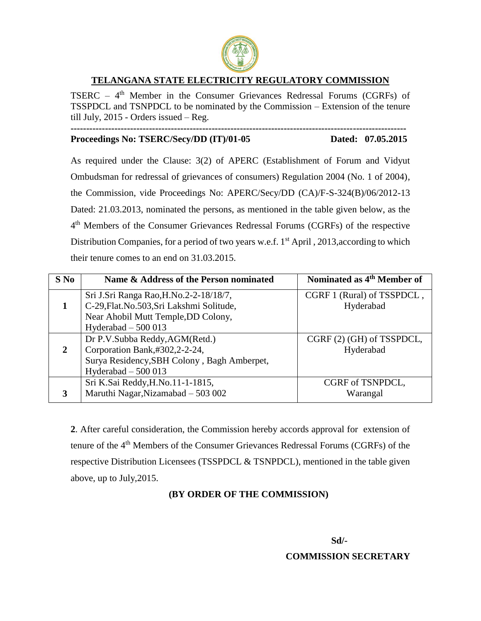

## **TELANGANA STATE ELECTRICITY REGULATORY COMMISSION**

TSERC – 4<sup>th</sup> Member in the Consumer Grievances Redressal Forums (CGRFs) of TSSPDCL and TSNPDCL to be nominated by the Commission – Extension of the tenure till July, 2015 - Orders issued – Reg. **-----------------------------------------------------------------------------------------------------------**

## **Proceedings No: TSERC/Secy/DD (IT)/01-05 Dated: 07.05.2015**

As required under the Clause: 3(2) of APERC (Establishment of Forum and Vidyut Ombudsman for redressal of grievances of consumers) Regulation 2004 (No. 1 of 2004), the Commission, vide Proceedings No: APERC/Secy/DD (CA)/F-S-324(B)/06/2012-13 Dated: 21.03.2013, nominated the persons, as mentioned in the table given below, as the 4 th Members of the Consumer Grievances Redressal Forums (CGRFs) of the respective Distribution Companies, for a period of two years w.e.f.  $1<sup>st</sup>$  April, 2013, according to which their tenure comes to an end on 31.03.2015.

| $S$ No       | Name & Address of the Person nominated                                                                                      | Nominated as 4 <sup>th</sup> Member of  |
|--------------|-----------------------------------------------------------------------------------------------------------------------------|-----------------------------------------|
|              | Sri J.Sri Ranga Rao, H.No.2-2-18/18/7,<br>C-29, Flat. No. 503, Sri Lakshmi Solitude,<br>Near Ahobil Mutt Temple, DD Colony, | CGRF 1 (Rural) of TSSPDCL,<br>Hyderabad |
|              | Hyderabad $-500013$                                                                                                         |                                         |
|              | Dr P.V.Subba Reddy, AGM(Retd.)                                                                                              | CGRF (2) (GH) of TSSPDCL,               |
| $\mathbf{2}$ | Corporation Bank,#302,2-2-24,                                                                                               | Hyderabad                               |
|              | Surya Residency, SBH Colony, Bagh Amberpet,                                                                                 |                                         |
|              | Hyderabad $-500013$                                                                                                         |                                         |
|              | Sri K.Sai Reddy, H.No.11-1-1815,                                                                                            | CGRF of TSNPDCL,                        |
| 3            | Maruthi Nagar, Nizamabad - 503 002                                                                                          | Warangal                                |

**2**. After careful consideration, the Commission hereby accords approval for extension of tenure of the 4<sup>th</sup> Members of the Consumer Grievances Redressal Forums (CGRFs) of the respective Distribution Licensees (TSSPDCL & TSNPDCL), mentioned in the table given above, up to July,2015.

#### **(BY ORDER OF THE COMMISSION)**